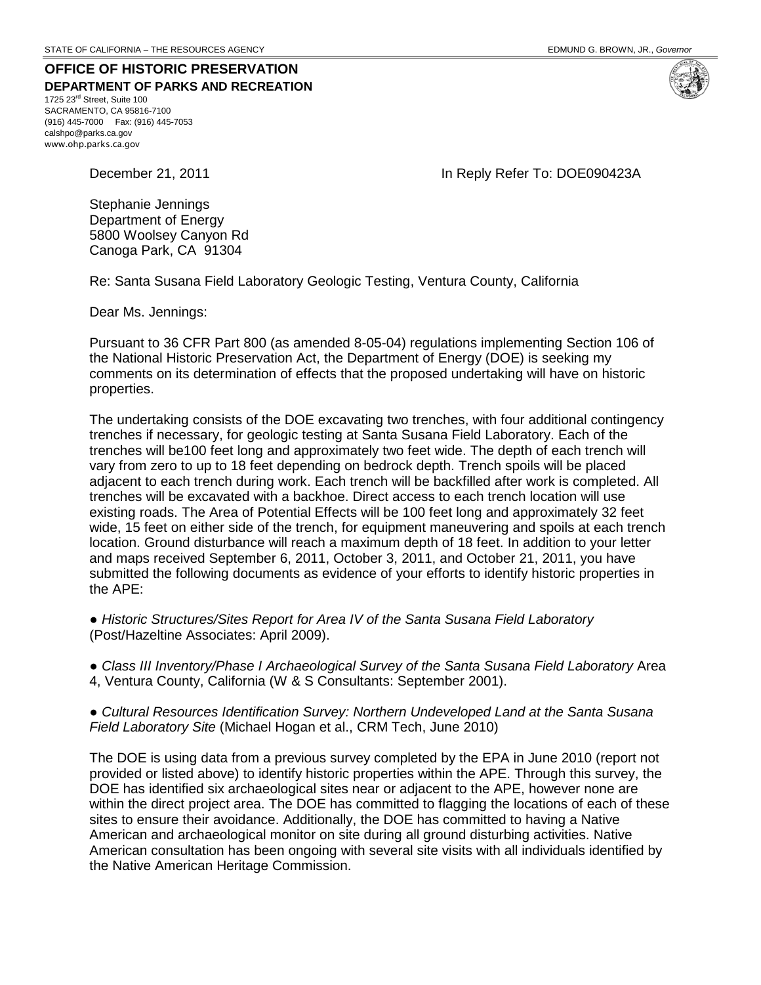**OFFICE OF HISTORIC PRESERVATION DEPARTMENT OF PARKS AND RECREATION** 1725 23rd Street, Suite 100

SACRAMENTO, CA 95816-7100 (916) 445-7000 Fax: (916) 445-7053 calshpo@parks.ca.gov www.ohp.parks.ca.gov

December 21, 2011 **In Reply Refer To: DOE090423A** 

Stephanie Jennings Department of Energy 5800 Woolsey Canyon Rd Canoga Park, CA 91304

Re: Santa Susana Field Laboratory Geologic Testing, Ventura County, California

Dear Ms. Jennings:

Pursuant to 36 CFR Part 800 (as amended 8-05-04) regulations implementing Section 106 of the National Historic Preservation Act, the Department of Energy (DOE) is seeking my comments on its determination of effects that the proposed undertaking will have on historic properties.

The undertaking consists of the DOE excavating two trenches, with four additional contingency trenches if necessary, for geologic testing at Santa Susana Field Laboratory. Each of the trenches will be100 feet long and approximately two feet wide. The depth of each trench will vary from zero to up to 18 feet depending on bedrock depth. Trench spoils will be placed adjacent to each trench during work. Each trench will be backfilled after work is completed. All trenches will be excavated with a backhoe. Direct access to each trench location will use existing roads. The Area of Potential Effects will be 100 feet long and approximately 32 feet wide, 15 feet on either side of the trench, for equipment maneuvering and spoils at each trench location. Ground disturbance will reach a maximum depth of 18 feet. In addition to your letter and maps received September 6, 2011, October 3, 2011, and October 21, 2011, you have submitted the following documents as evidence of your efforts to identify historic properties in the APE:

● *Historic Structures/Sites Report for Area IV of the Santa Susana Field Laboratory* (Post/Hazeltine Associates: April 2009).

● *Class III Inventory/Phase I Archaeological Survey of the Santa Susana Field Laboratory* Area 4, Ventura County, California (W & S Consultants: September 2001).

● *Cultural Resources Identification Survey: Northern Undeveloped Land at the Santa Susana Field Laboratory Site* (Michael Hogan et al., CRM Tech, June 2010)

The DOE is using data from a previous survey completed by the EPA in June 2010 (report not provided or listed above) to identify historic properties within the APE. Through this survey, the DOE has identified six archaeological sites near or adjacent to the APE, however none are within the direct project area. The DOE has committed to flagging the locations of each of these sites to ensure their avoidance. Additionally, the DOE has committed to having a Native American and archaeological monitor on site during all ground disturbing activities. Native American consultation has been ongoing with several site visits with all individuals identified by the Native American Heritage Commission.